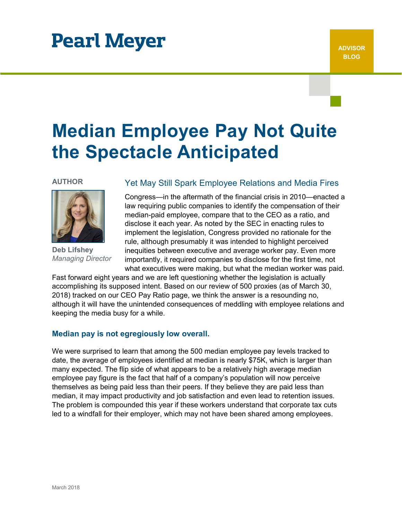# **Pearl Meyer**

# **Median Employee Pay Not Quite the Spectacle Anticipated**

### **AUTHOR**



**Deb Lifshey** *Managing Director*

# Yet May Still Spark Employee Relations and Media Fires

Congress—in the aftermath of the financial crisis in 2010—enacted a law requiring public companies to identify the compensation of their median-paid employee, compare that to the CEO as a ratio, and disclose it each year. As noted by the SEC in enacting rules to implement the legislation, Congress provided no rationale for the rule, although presumably it was intended to highlight perceived inequities between executive and average worker pay. Even more importantly, it required companies to disclose for the first time, not what executives were making, but what the median worker was paid.

Fast forward eight years and we are left questioning whether the legislation is actually accomplishing its supposed intent. Based on our review of 500 proxies (as of March 30, 2018) tracked on our CEO Pay Ratio page, we think the answer is a resounding no, although it will have the unintended consequences of meddling with employee relations and keeping the media busy for a while.

## **Median pay is not egregiously low overall.**

We were surprised to learn that among the 500 median employee pay levels tracked to date, the average of employees identified at median is nearly \$75K, which is larger than many expected. The flip side of what appears to be a relatively high average median employee pay figure is the fact that half of a company's population will now perceive themselves as being paid less than their peers. If they believe they are paid less than median, it may impact productivity and job satisfaction and even lead to retention issues. The problem is compounded this year if these workers understand that corporate tax cuts led to a windfall for their employer, which may not have been shared among employees.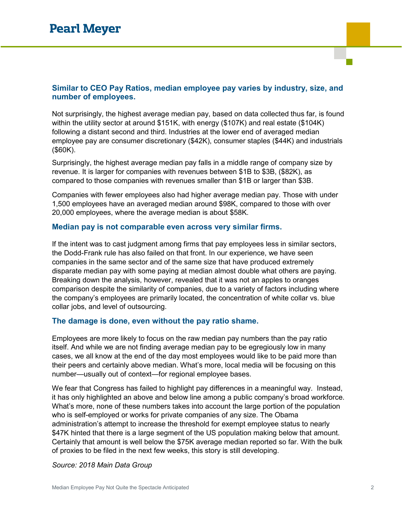# **Similar to CEO Pay Ratios, median employee pay varies by industry, size, and number of employees.**

Not surprisingly, the highest average median pay, based on data collected thus far, is found within the utility sector at around \$151K, with energy (\$107K) and real estate (\$104K) following a distant second and third. Industries at the lower end of averaged median employee pay are consumer discretionary (\$42K), consumer staples (\$44K) and industrials (\$60K).

Surprisingly, the highest average median pay falls in a middle range of company size by revenue. It is larger for companies with revenues between \$1B to \$3B, (\$82K), as compared to those companies with revenues smaller than \$1B or larger than \$3B.

Companies with fewer employees also had higher average median pay. Those with under 1,500 employees have an averaged median around \$98K, compared to those with over 20,000 employees, where the average median is about \$58K.

## **Median pay is not comparable even across very similar firms.**

If the intent was to cast judgment among firms that pay employees less in similar sectors, the Dodd-Frank rule has also failed on that front. In our experience, we have seen companies in the same sector and of the same size that have produced extremely disparate median pay with some paying at median almost double what others are paying. Breaking down the analysis, however, revealed that it was not an apples to oranges comparison despite the similarity of companies, due to a variety of factors including where the company's employees are primarily located, the concentration of white collar vs. blue collar jobs, and level of outsourcing.

## **The damage is done, even without the pay ratio shame.**

Employees are more likely to focus on the raw median pay numbers than the pay ratio itself. And while we are not finding average median pay to be egregiously low in many cases, we all know at the end of the day most employees would like to be paid more than their peers and certainly above median. What's more, local media will be focusing on this number—usually out of context—for regional employee bases.

We fear that Congress has failed to highlight pay differences in a meaningful way. Instead, it has only highlighted an above and below line among a public company's broad workforce. What's more, none of these numbers takes into account the large portion of the population who is self-employed or works for private companies of any size. The Obama administration's attempt to increase the threshold for exempt employee status to nearly \$47K hinted that there is a large segment of the US population making below that amount. Certainly that amount is well below the \$75K average median reported so far. With the bulk of proxies to be filed in the next few weeks, this story is still developing.

### *Source: 2018 Main Data Group*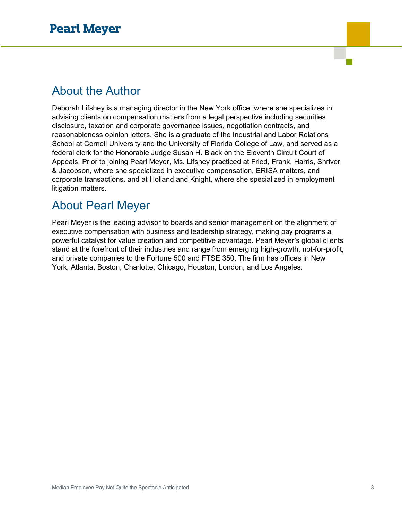# About the Author

Deborah Lifshey is a managing director in the New York office, where she specializes in advising clients on compensation matters from a legal perspective including securities disclosure, taxation and corporate governance issues, negotiation contracts, and reasonableness opinion letters. She is a graduate of the Industrial and Labor Relations School at Cornell University and the University of Florida College of Law, and served as a federal clerk for the Honorable Judge Susan H. Black on the Eleventh Circuit Court of Appeals. Prior to joining Pearl Meyer, Ms. Lifshey practiced at Fried, Frank, Harris, Shriver & Jacobson, where she specialized in executive compensation, ERISA matters, and corporate transactions, and at Holland and Knight, where she specialized in employment litigation matters.

# About Pearl Meyer

Pearl Meyer is the leading advisor to boards and senior management on the alignment of executive compensation with business and leadership strategy, making pay programs a powerful catalyst for value creation and competitive advantage. Pearl Meyer's global clients stand at the forefront of their industries and range from emerging high-growth, not-for-profit, and private companies to the Fortune 500 and FTSE 350. The firm has offices in New York, Atlanta, Boston, Charlotte, Chicago, Houston, London, and Los Angeles.